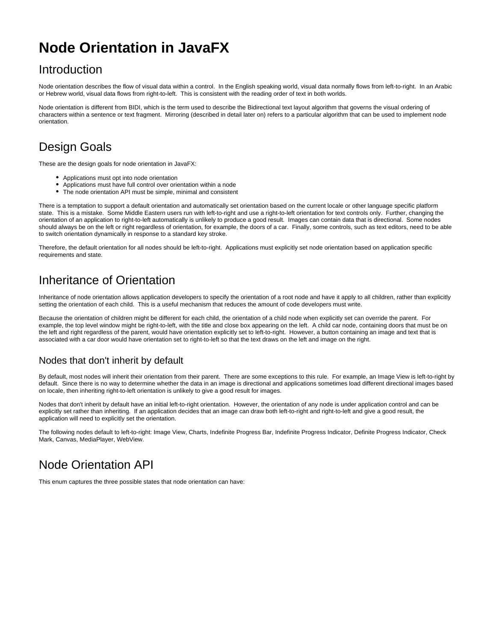# **Node Orientation in JavaFX**

### Introduction

Node orientation describes the flow of visual data within a control. In the English speaking world, visual data normally flows from left-to-right. In an Arabic or Hebrew world, visual data flows from right-to-left. This is consistent with the reading order of text in both worlds.

Node orientation is different from BIDI, which is the term used to describe the Bidirectional text layout algorithm that governs the visual ordering of characters within a sentence or text fragment. Mirroring (described in detail later on) refers to a particular algorithm that can be used to implement node orientation.

# Design Goals

These are the design goals for node orientation in JavaFX:

- Applications must opt into node orientation
- Applications must have full control over orientation within a node
- The node orientation API must be simple, minimal and consistent  $\bullet$

There is a temptation to support a default orientation and automatically set orientation based on the current locale or other language specific platform state. This is a mistake. Some Middle Eastern users run with left-to-right and use a right-to-left orientation for text controls only. Further, changing the orientation of an application to right-to-left automatically is unlikely to produce a good result. Images can contain data that is directional. Some nodes should always be on the left or right regardless of orientation, for example, the doors of a car. Finally, some controls, such as text editors, need to be able to switch orientation dynamically in response to a standard key stroke.

Therefore, the default orientation for all nodes should be left-to-right. Applications must explicitly set node orientation based on application specific requirements and state.

### Inheritance of Orientation

Inheritance of node orientation allows application developers to specify the orientation of a root node and have it apply to all children, rather than explicitly setting the orientation of each child. This is a useful mechanism that reduces the amount of code developers must write.

Because the orientation of children might be different for each child, the orientation of a child node when explicitly set can override the parent. For example, the top level window might be right-to-left, with the title and close box appearing on the left. A child car node, containing doors that must be on the left and right regardless of the parent, would have orientation explicitly set to left-to-right. However, a button containing an image and text that is associated with a car door would have orientation set to right-to-left so that the text draws on the left and image on the right.

#### Nodes that don't inherit by default

By default, most nodes will inherit their orientation from their parent. There are some exceptions to this rule. For example, an Image View is left-to-right by default. Since there is no way to determine whether the data in an image is directional and applications sometimes load different directional images based on locale, then inheriting right-to-left orientation is unlikely to give a good result for images.

Nodes that don't inherit by default have an initial left-to-right orientation. However, the orientation of any node is under application control and can be explicitly set rather than inheriting. If an application decides that an image can draw both left-to-right and right-to-left and give a good result, the application will need to explicitly set the orientation.

The following nodes default to left-to-right: Image View, Charts, Indefinite Progress Bar, Indefinite Progress Indicator, Definite Progress Indicator, Check Mark, Canvas, MediaPlayer, WebView.

# Node Orientation API

This enum captures the three possible states that node orientation can have: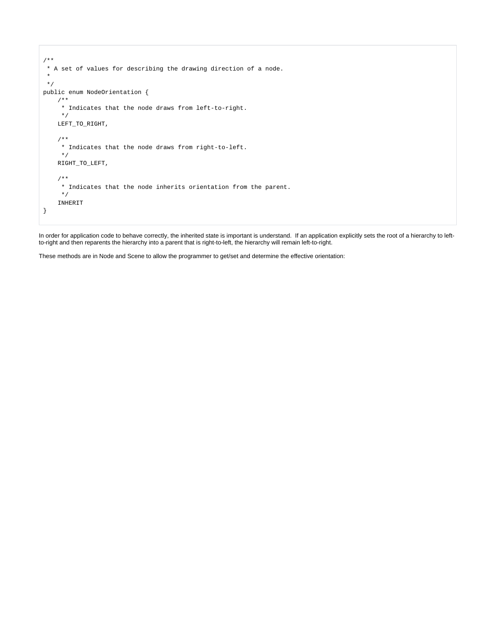```
/**
 * A set of values for describing the drawing direction of a node.
  *
  */
public enum NodeOrientation {
     /**
      * Indicates that the node draws from left-to-right.
      */
     LEFT_TO_RIGHT,
     /**
      * Indicates that the node draws from right-to-left.
     */
     RIGHT_TO_LEFT,
     /**
     * Indicates that the node inherits orientation from the parent.
      */
     INHERIT
}
```
In order for application code to behave correctly, the inherited state is important is understand. If an application explicitly sets the root of a hierarchy to leftto-right and then reparents the hierarchy into a parent that is right-to-left, the hierarchy will remain left-to-right.

These methods are in Node and Scene to allow the programmer to get/set and determine the effective orientation: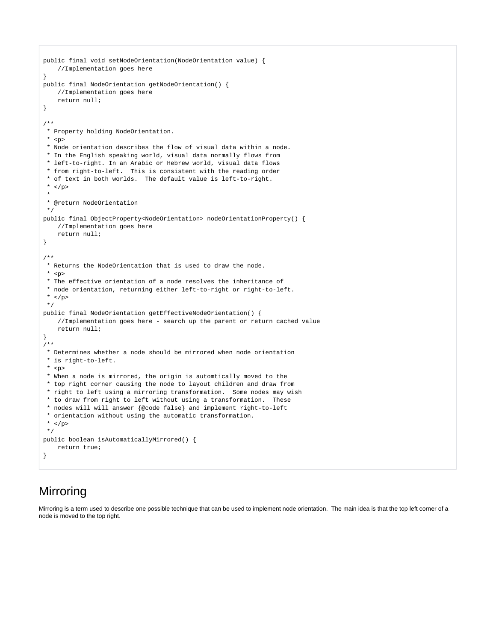```
public final void setNodeOrientation(NodeOrientation value) {
     //Implementation goes here
}
public final NodeOrientation getNodeOrientation() {
    //Implementation goes here
    return null;
}
/**
 * Property holding NodeOrientation.
* <p>
 * Node orientation describes the flow of visual data within a node.
 * In the English speaking world, visual data normally flows from
 * left-to-right. In an Arabic or Hebrew world, visual data flows
  * from right-to-left. This is consistent with the reading order
  * of text in both worlds. The default value is left-to-right.
  * </p>
 *
 * @return NodeOrientation
 */
public final ObjectProperty<NodeOrientation> nodeOrientationProperty() {
     //Implementation goes here
    return null;
}
/**
 * Returns the NodeOrientation that is used to draw the node.
 * <p>
 * The effective orientation of a node resolves the inheritance of
  * node orientation, returning either left-to-right or right-to-left.
  * </p>
 */
public final NodeOrientation getEffectiveNodeOrientation() {
     //Implementation goes here - search up the parent or return cached value
     return null;
}
/**
 * Determines whether a node should be mirrored when node orientation
 * is right-to-left.
 * <p>
 * When a node is mirrored, the origin is automtically moved to the
  * top right corner causing the node to layout children and draw from
 * right to left using a mirroring transformation. Some nodes may wish
  * to draw from right to left without using a transformation. These
 * nodes will will answer {@code false} and implement right-to-left
 * orientation without using the automatic transformation.
  * </p>
 */
public boolean isAutomaticallyMirrored() {
    return true;
}
```
### Mirroring

Mirroring is a term used to describe one possible technique that can be used to implement node orientation. The main idea is that the top left corner of a node is moved to the top right.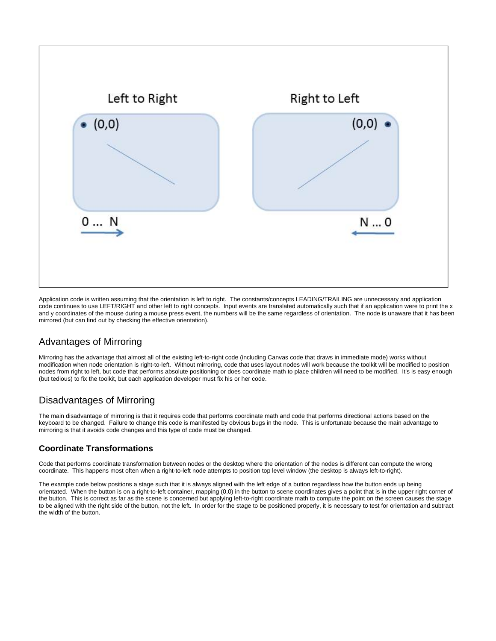

Application code is written assuming that the orientation is left to right. The constants/concepts LEADING/TRAILING are unnecessary and application code continues to use LEFT/RIGHT and other left to right concepts. Input events are translated automatically such that if an application were to print the x and y coordinates of the mouse during a mouse press event, the numbers will be the same regardless of orientation. The node is unaware that it has been mirrored (but can find out by checking the effective orientation).

#### Advantages of Mirroring

Mirroring has the advantage that almost all of the existing left-to-right code (including Canvas code that draws in immediate mode) works without modification when node orientation is right-to-left. Without mirroring, code that uses layout nodes will work because the toolkit will be modified to position nodes from right to left, but code that performs absolute positioning or does coordinate math to place children will need to be modified. It's is easy enough (but tedious) to fix the toolkit, but each application developer must fix his or her code.

#### Disadvantages of Mirroring

The main disadvantage of mirroring is that it requires code that performs coordinate math and code that performs directional actions based on the keyboard to be changed. Failure to change this code is manifested by obvious bugs in the node. This is unfortunate because the main advantage to mirroring is that it avoids code changes and this type of code must be changed.

#### **Coordinate Transformations**

Code that performs coordinate transformation between nodes or the desktop where the orientation of the nodes is different can compute the wrong coordinate. This happens most often when a right-to-left node attempts to position top level window (the desktop is always left-to-right).

The example code below positions a stage such that it is always aligned with the left edge of a button regardless how the button ends up being orientated. When the button is on a right-to-left container, mapping (0,0) in the button to scene coordinates gives a point that is in the upper right corner of the button. This is correct as far as the scene is concerned but applying left-to-right coordinate math to compute the point on the screen causes the stage to be aligned with the right side of the button, not the left. In order for the stage to be positioned properly, it is necessary to test for orientation and subtract the width of the button.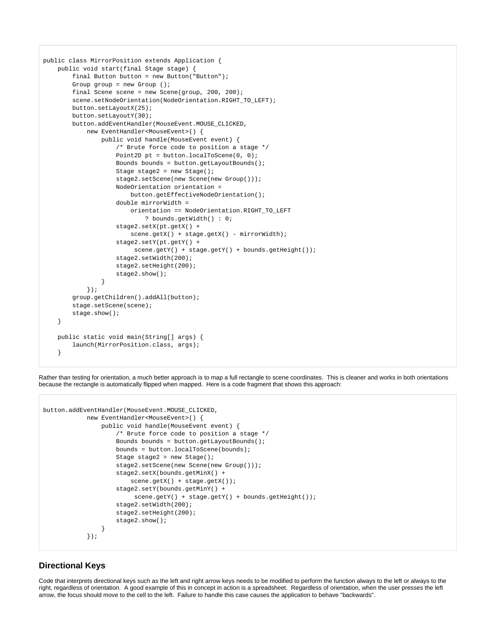```
public class MirrorPosition extends Application {
    public void start(final Stage stage) {
        final Button button = new Button("Button");
        Group group = new Group ();
       final Scene scene = new Scene(qrow, 200, 200);
       scene.setNodeOrientation(NodeOrientation.RIGHT_TO_LEFT);
        button.setLayoutX(25);
        button.setLayoutY(30);
        button.addEventHandler(MouseEvent.MOUSE_CLICKED,
             new EventHandler<MouseEvent>() {
                 public void handle(MouseEvent event) {
                     /* Brute force code to position a stage */
                    Point2D pt = button.localToScene(0, 0);
                     Bounds bounds = button.getLayoutBounds();
                    Stage stage2 = new Stage();
                     stage2.setScene(new Scene(new Group()));
                     NodeOrientation orientation =
                         button.getEffectiveNodeOrientation();
                     double mirrorWidth =
                         orientation == NodeOrientation.RIGHT_TO_LEFT
                             ? bounds.getWidth() : 0;
                     stage2.setX(pt.getX() +
                        scene.getX() + stage.getX() - mirrorWidth);
                     stage2.setY(pt.getY() +
                         scene.getY() + stage.getY() + bounds.getHeight());
                     stage2.setWidth(200);
                     stage2.setHeight(200);
                     stage2.show();
 }
             });
        group.getChildren().addAll(button);
         stage.setScene(scene);
         stage.show();
     }
    public static void main(String[] args) {
       launch(MirrorPosition.class, args);
     }
```
Rather than testing for orientation, a much better approach is to map a full rectangle to scene coordinates. This is cleaner and works in both orientations because the rectangle is automatically flipped when mapped. Here is a code fragment that shows this approach:

```
button.addEventHandler(MouseEvent.MOUSE_CLICKED,
            new EventHandler<MouseEvent>() {
                 public void handle(MouseEvent event) {
                     /* Brute force code to position a stage */
                     Bounds bounds = button.getLayoutBounds();
                     bounds = button.localToScene(bounds);
                     Stage stage2 = new Stage();
                     stage2.setScene(new Scene(new Group()));
                     stage2.setX(bounds.getMinX() +
                        scene.getX() + stage.getX());
                     stage2.setY(bounds.getMinY() +
                          scene.getY() + stage.getY() + bounds.getHeight());
                     stage2.setWidth(200);
                     stage2.setHeight(200);
                     stage2.show();
 }
            });
```
#### **Directional Keys**

Code that interprets directional keys such as the left and right arrow keys needs to be modified to perform the function always to the left or always to the right, regardless of orientation. A good example of this in concept in action is a spreadsheet. Regardless of orientation, when the user presses the left arrow, the focus should move to the cell to the left. Failure to handle this case causes the application to behave "backwards".